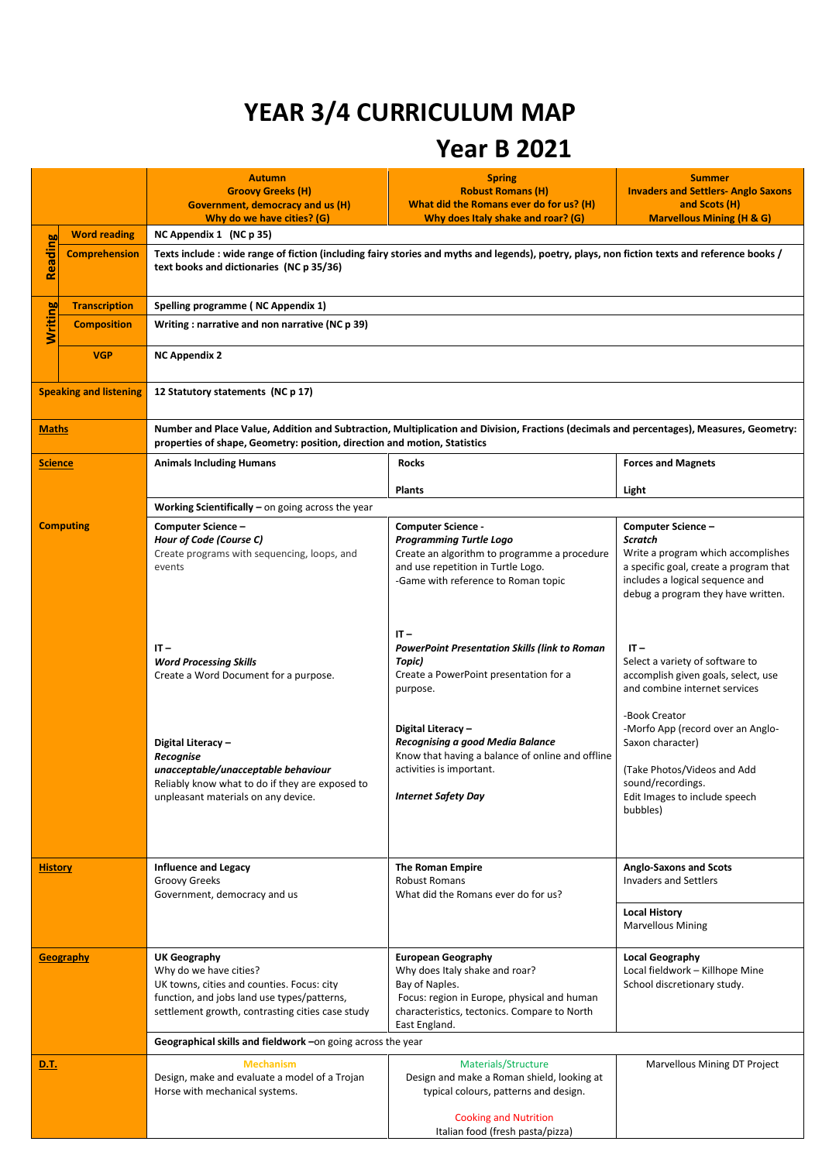## **YEAR 3/4 CURRICULUM MAP**

## **Year B 2021**

|                               |                                                             | <b>Autumn</b><br><b>Groovy Greeks (H)</b><br>Government, democracy and us (H)                                                                                                                                         | <b>Spring</b><br><b>Robust Romans (H)</b><br>What did the Romans ever do for us? (H)                                                                                                          | <b>Summer</b><br><b>Invaders and Settlers- Anglo Saxons</b><br>and Scots (H)                                                                                                                 |  |
|-------------------------------|-------------------------------------------------------------|-----------------------------------------------------------------------------------------------------------------------------------------------------------------------------------------------------------------------|-----------------------------------------------------------------------------------------------------------------------------------------------------------------------------------------------|----------------------------------------------------------------------------------------------------------------------------------------------------------------------------------------------|--|
|                               |                                                             | Why do we have cities? (G)                                                                                                                                                                                            | Why does Italy shake and roar? (G)                                                                                                                                                            | <b>Marvellous Mining (H &amp; G)</b>                                                                                                                                                         |  |
|                               | <b>Word reading</b>                                         | NC Appendix 1 (NC p 35)                                                                                                                                                                                               |                                                                                                                                                                                               |                                                                                                                                                                                              |  |
| <b>Reading</b>                | <b>Comprehension</b>                                        | Texts include : wide range of fiction (including fairy stories and myths and legends), poetry, plays, non fiction texts and reference books /<br>text books and dictionaries (NC p 35/36)                             |                                                                                                                                                                                               |                                                                                                                                                                                              |  |
|                               | <b>Transcription</b>                                        | Spelling programme (NC Appendix 1)                                                                                                                                                                                    |                                                                                                                                                                                               |                                                                                                                                                                                              |  |
| <b>Writing</b>                | <b>Composition</b>                                          | Writing: narrative and non narrative (NC p 39)                                                                                                                                                                        |                                                                                                                                                                                               |                                                                                                                                                                                              |  |
|                               | <b>VGP</b>                                                  | <b>NC Appendix 2</b>                                                                                                                                                                                                  |                                                                                                                                                                                               |                                                                                                                                                                                              |  |
| <b>Speaking and listening</b> |                                                             | 12 Statutory statements (NC p 17)                                                                                                                                                                                     |                                                                                                                                                                                               |                                                                                                                                                                                              |  |
| <b>Maths</b>                  |                                                             | Number and Place Value, Addition and Subtraction, Multiplication and Division, Fractions (decimals and percentages), Measures, Geometry:<br>properties of shape, Geometry: position, direction and motion, Statistics |                                                                                                                                                                                               |                                                                                                                                                                                              |  |
| <b>Science</b>                |                                                             | <b>Animals Including Humans</b>                                                                                                                                                                                       | <b>Rocks</b>                                                                                                                                                                                  | <b>Forces and Magnets</b>                                                                                                                                                                    |  |
|                               |                                                             |                                                                                                                                                                                                                       | <b>Plants</b>                                                                                                                                                                                 | Light                                                                                                                                                                                        |  |
|                               |                                                             | <b>Working Scientifically</b> – on going across the year                                                                                                                                                              |                                                                                                                                                                                               |                                                                                                                                                                                              |  |
| <b>Computing</b>              |                                                             | Computer Science-<br>Hour of Code (Course C)<br>Create programs with sequencing, loops, and<br>events                                                                                                                 | <b>Computer Science -</b><br><b>Programming Turtle Logo</b><br>Create an algorithm to programme a procedure<br>and use repetition in Turtle Logo.<br>-Game with reference to Roman topic      | Computer Science-<br><b>Scratch</b><br>Write a program which accomplishes<br>a specific goal, create a program that<br>includes a logical sequence and<br>debug a program they have written. |  |
|                               |                                                             | $IT -$<br><b>Word Processing Skills</b><br>Create a Word Document for a purpose.                                                                                                                                      | $IT -$<br>PowerPoint Presentation Skills (link to Roman<br>Topic)<br>Create a PowerPoint presentation for a<br>purpose.                                                                       | $IT -$<br>Select a variety of software to<br>accomplish given goals, select, use<br>and combine internet services                                                                            |  |
|                               |                                                             | Digital Literacy -<br>Recognise<br>unacceptable/unacceptable behaviour<br>Reliably know what to do if they are exposed to<br>unpleasant materials on any device.                                                      | Digital Literacy -<br>Recognising a good Media Balance<br>Know that having a balance of online and offline<br>activities is important.<br><b>Internet Safety Day</b>                          | -Book Creator<br>-Morfo App (record over an Anglo-<br>Saxon character)<br>(Take Photos/Videos and Add<br>sound/recordings.<br>Edit Images to include speech<br>bubbles)                      |  |
| <b>History</b>                |                                                             | <b>Influence and Legacy</b><br>Groovy Greeks<br>Government, democracy and us                                                                                                                                          | <b>The Roman Empire</b><br><b>Robust Romans</b><br>What did the Romans ever do for us?                                                                                                        | <b>Anglo-Saxons and Scots</b><br><b>Invaders and Settlers</b><br><b>Local History</b><br><b>Marvellous Mining</b>                                                                            |  |
|                               |                                                             |                                                                                                                                                                                                                       |                                                                                                                                                                                               |                                                                                                                                                                                              |  |
|                               | <b>Geography</b>                                            | UK Geography<br>Why do we have cities?<br>UK towns, cities and counties. Focus: city<br>function, and jobs land use types/patterns,<br>settlement growth, contrasting cities case study                               | <b>European Geography</b><br>Why does Italy shake and roar?<br>Bay of Naples.<br>Focus: region in Europe, physical and human<br>characteristics, tectonics. Compare to North<br>East England. | <b>Local Geography</b><br>Local fieldwork - Killhope Mine<br>School discretionary study.                                                                                                     |  |
|                               | Geographical skills and fieldwork -on going across the year |                                                                                                                                                                                                                       |                                                                                                                                                                                               |                                                                                                                                                                                              |  |
| <u>D.T.</u>                   |                                                             | <b>Mechanism</b><br>Design, make and evaluate a model of a Trojan<br>Horse with mechanical systems.                                                                                                                   | Materials/Structure<br>Design and make a Roman shield, looking at<br>typical colours, patterns and design.                                                                                    | Marvellous Mining DT Project                                                                                                                                                                 |  |
|                               |                                                             |                                                                                                                                                                                                                       | <b>Cooking and Nutrition</b><br>Italian food (fresh pasta/pizza)                                                                                                                              |                                                                                                                                                                                              |  |